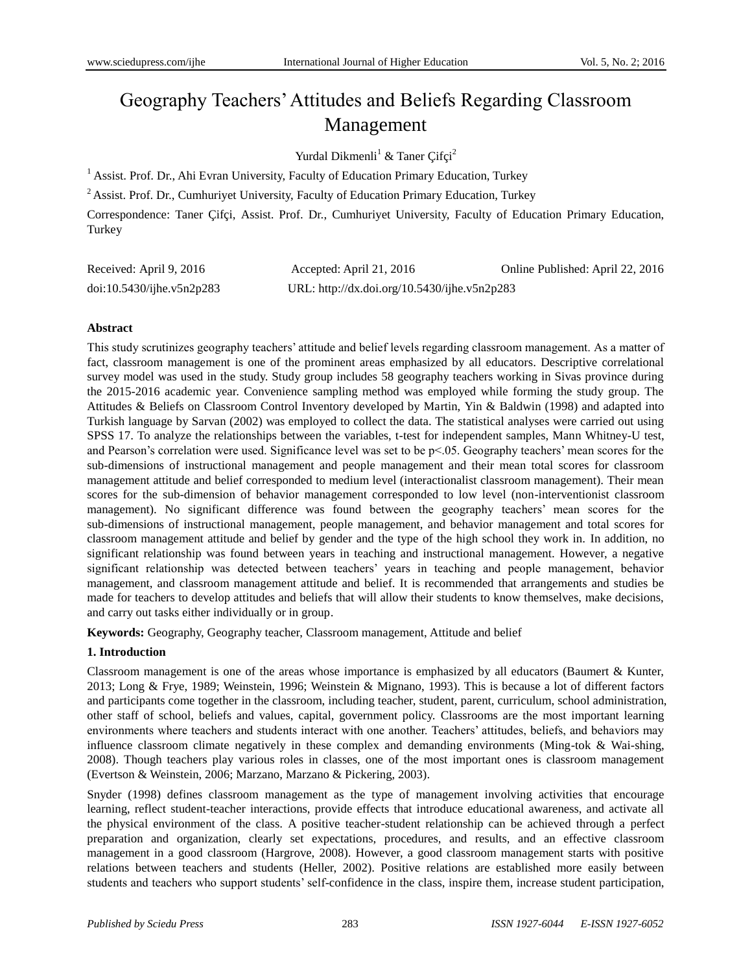# Geography Teachers' Attitudes and Beliefs Regarding Classroom Management

Yurdal Dikmenli<sup>1</sup> & Taner Cif  $\dot{q}^2$ 

<sup>1</sup> Assist. Prof. Dr., Ahi Evran University, Faculty of Education Primary Education, Turkey

 $2$  Assist. Prof. Dr., Cumhuriyet University, Faculty of Education Primary Education, Turkey

Correspondence: Taner Çifçi, Assist. Prof. Dr., Cumhuriyet University, Faculty of Education Primary Education, **Turkey** 

| Received: April 9, 2016   | Accepted: April 21, 2016                     | Online Published: April 22, 2016 |
|---------------------------|----------------------------------------------|----------------------------------|
| doi:10.5430/ijhe.v5n2p283 | URL: http://dx.doi.org/10.5430/ijhe.v5n2p283 |                                  |

#### **Abstract**

This study scrutinizes geography teachers' attitude and belief levels regarding classroom management. As a matter of fact, classroom management is one of the prominent areas emphasized by all educators. Descriptive correlational survey model was used in the study. Study group includes 58 geography teachers working in Sivas province during the 2015-2016 academic year. Convenience sampling method was employed while forming the study group. The Attitudes & Beliefs on Classroom Control Inventory developed by Martin, Yin & Baldwin (1998) and adapted into Turkish language by Sarvan (2002) was employed to collect the data. The statistical analyses were carried out using SPSS 17. To analyze the relationships between the variables, t-test for independent samples, Mann Whitney-U test, and Pearson's correlation were used. Significance level was set to be p<.05. Geography teachers' mean scores for the sub-dimensions of instructional management and people management and their mean total scores for classroom management attitude and belief corresponded to medium level (interactionalist classroom management). Their mean scores for the sub-dimension of behavior management corresponded to low level (non-interventionist classroom management). No significant difference was found between the geography teachers' mean scores for the sub-dimensions of instructional management, people management, and behavior management and total scores for classroom management attitude and belief by gender and the type of the high school they work in. In addition, no significant relationship was found between years in teaching and instructional management. However, a negative significant relationship was detected between teachers' years in teaching and people management, behavior management, and classroom management attitude and belief. It is recommended that arrangements and studies be made for teachers to develop attitudes and beliefs that will allow their students to know themselves, make decisions, and carry out tasks either individually or in group.

**Keywords:** Geography, Geography teacher, Classroom management, Attitude and belief

#### **1. Introduction**

Classroom management is one of the areas whose importance is emphasized by all educators (Baumert & Kunter, 2013; Long & Frye, 1989; Weinstein, 1996; Weinstein & Mignano, 1993). This is because a lot of different factors and participants come together in the classroom, including teacher, student, parent, curriculum, school administration, other staff of school, beliefs and values, capital, government policy. Classrooms are the most important learning environments where teachers and students interact with one another. Teachers' attitudes, beliefs, and behaviors may influence classroom climate negatively in these complex and demanding environments (Ming-tok & Wai-shing, 2008). Though teachers play various roles in classes, one of the most important ones is classroom management (Evertson & Weinstein, 2006; Marzano, Marzano & Pickering, 2003).

Snyder (1998) defines classroom management as the type of management involving activities that encourage learning, reflect student-teacher interactions, provide effects that introduce educational awareness, and activate all the physical environment of the class. A positive teacher-student relationship can be achieved through a perfect preparation and organization, clearly set expectations, procedures, and results, and an effective classroom management in a good classroom (Hargrove, 2008). However, a good classroom management starts with positive relations between teachers and students (Heller, 2002). Positive relations are established more easily between students and teachers who support students' self-confidence in the class, inspire them, increase student participation,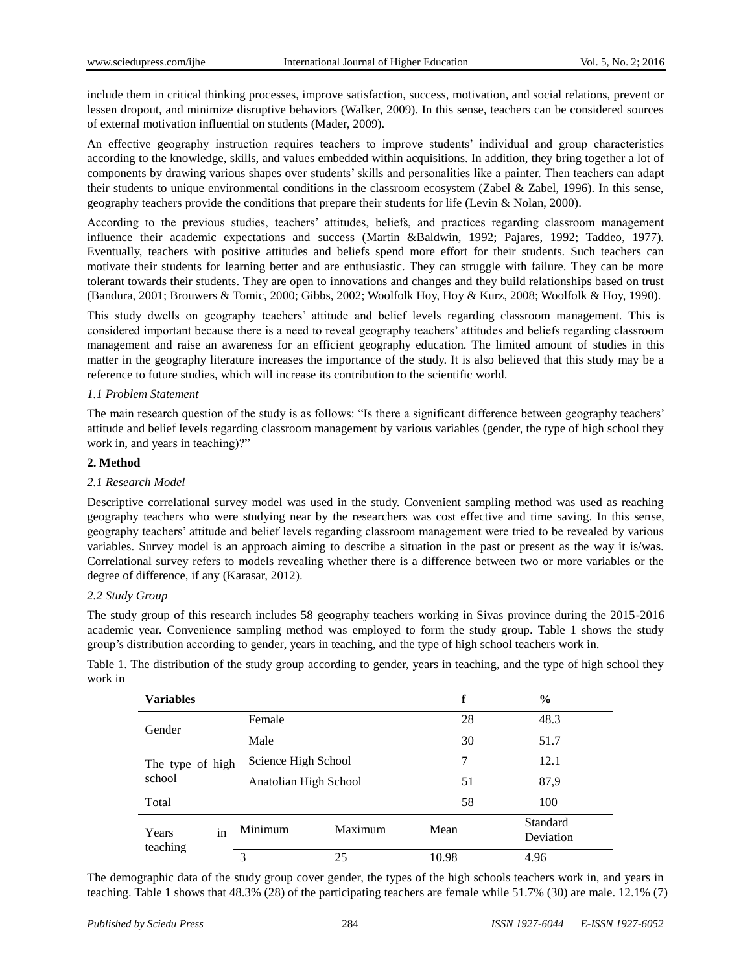include them in critical thinking processes, improve satisfaction, success, motivation, and social relations, prevent or lessen dropout, and minimize disruptive behaviors (Walker, 2009). In this sense, teachers can be considered sources of external motivation influential on students (Mader, 2009).

An effective geography instruction requires teachers to improve students' individual and group characteristics according to the knowledge, skills, and values embedded within acquisitions. In addition, they bring together a lot of components by drawing various shapes over students' skills and personalities like a painter. Then teachers can adapt their students to unique environmental conditions in the classroom ecosystem (Zabel & Zabel, 1996). In this sense, geography teachers provide the conditions that prepare their students for life (Levin & Nolan, 2000).

According to the previous studies, teachers' attitudes, beliefs, and practices regarding classroom management influence their academic expectations and success (Martin &Baldwin, 1992; Pajares, 1992; Taddeo, 1977). Eventually, teachers with positive attitudes and beliefs spend more effort for their students. Such teachers can motivate their students for learning better and are enthusiastic. They can struggle with failure. They can be more tolerant towards their students. They are open to innovations and changes and they build relationships based on trust (Bandura, 2001; Brouwers & Tomic, 2000; Gibbs, 2002; Woolfolk Hoy, Hoy & Kurz, 2008; Woolfolk & Hoy, 1990).

This study dwells on geography teachers' attitude and belief levels regarding classroom management. This is considered important because there is a need to reveal geography teachers' attitudes and beliefs regarding classroom management and raise an awareness for an efficient geography education. The limited amount of studies in this matter in the geography literature increases the importance of the study. It is also believed that this study may be a reference to future studies, which will increase its contribution to the scientific world.

# *1.1 Problem Statement*

The main research question of the study is as follows: "Is there a significant difference between geography teachers' attitude and belief levels regarding classroom management by various variables (gender, the type of high school they work in, and years in teaching)?"

#### **2. Method**

# *2.1 Research Model*

Descriptive correlational survey model was used in the study. Convenient sampling method was used as reaching geography teachers who were studying near by the researchers was cost effective and time saving. In this sense, geography teachers' attitude and belief levels regarding classroom management were tried to be revealed by various variables. Survey model is an approach aiming to describe a situation in the past or present as the way it is/was. Correlational survey refers to models revealing whether there is a difference between two or more variables or the degree of difference, if any (Karasar, 2012).

#### *2.2 Study Group*

The study group of this research includes 58 geography teachers working in Sivas province during the 2015-2016 academic year. Convenience sampling method was employed to form the study group. Table 1 shows the study group's distribution according to gender, years in teaching, and the type of high school teachers work in.

Table 1. The distribution of the study group according to gender, years in teaching, and the type of high school they work in

| <b>Variables</b>        |                       | f  | $\frac{6}{9}$ |                       |
|-------------------------|-----------------------|----|---------------|-----------------------|
| Gender                  | Female                |    | 28            | 48.3                  |
|                         | Male                  |    | 30            | 51.7                  |
| The type of high        | Science High School   |    | 7             | 12.1                  |
| school                  | Anatolian High School |    | 51            | 87,9                  |
| Total                   |                       |    | 58            | 100                   |
| in<br>Years<br>teaching | Minimum<br>Maximum    |    | Mean          | Standard<br>Deviation |
|                         | 3                     | 25 | 10.98         | 4.96                  |

The demographic data of the study group cover gender, the types of the high schools teachers work in, and years in teaching. Table 1 shows that 48.3% (28) of the participating teachers are female while 51.7% (30) are male. 12.1% (7)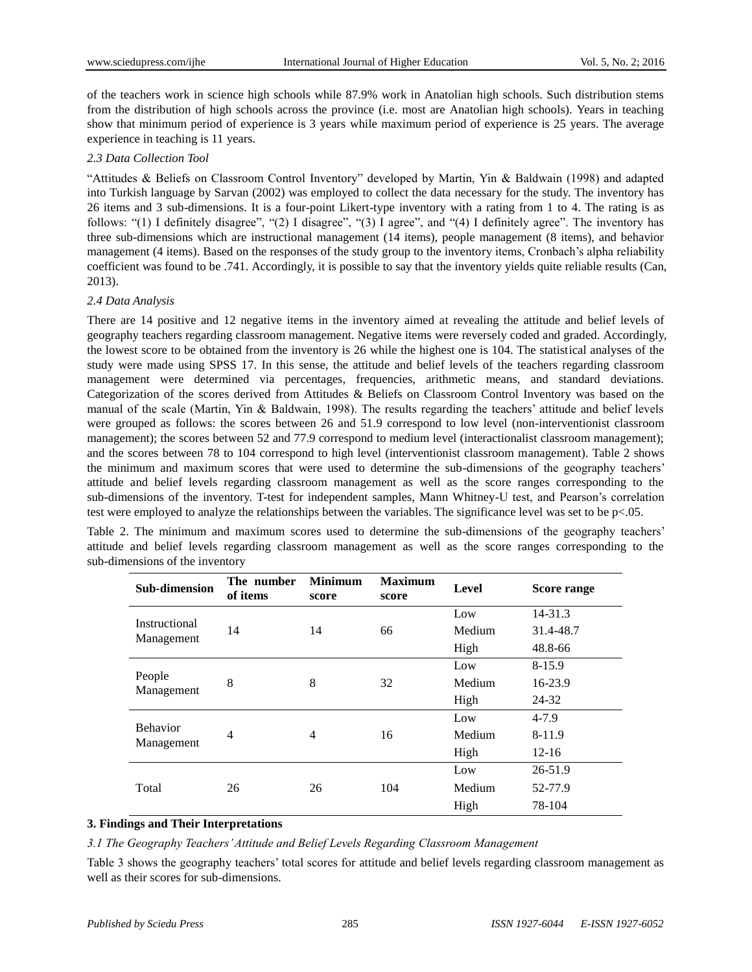of the teachers work in science high schools while 87.9% work in Anatolian high schools. Such distribution stems from the distribution of high schools across the province (i.e. most are Anatolian high schools). Years in teaching show that minimum period of experience is 3 years while maximum period of experience is 25 years. The average experience in teaching is 11 years.

#### *2.3 Data Collection Tool*

"Attitudes & Beliefs on Classroom Control Inventory" developed by Martin, Yin & Baldwain (1998) and adapted into Turkish language by Sarvan (2002) was employed to collect the data necessary for the study. The inventory has 26 items and 3 sub-dimensions. It is a four-point Likert-type inventory with a rating from 1 to 4. The rating is as follows: "(1) I definitely disagree", "(2) I disagree", "(3) I agree", and "(4) I definitely agree". The inventory has three sub-dimensions which are instructional management (14 items), people management (8 items), and behavior management (4 items). Based on the responses of the study group to the inventory items, Cronbach's alpha reliability coefficient was found to be .741. Accordingly, it is possible to say that the inventory yields quite reliable results (Can, 2013).

#### *2.4 Data Analysis*

There are 14 positive and 12 negative items in the inventory aimed at revealing the attitude and belief levels of geography teachers regarding classroom management. Negative items were reversely coded and graded. Accordingly, the lowest score to be obtained from the inventory is 26 while the highest one is 104. The statistical analyses of the study were made using SPSS 17. In this sense, the attitude and belief levels of the teachers regarding classroom management were determined via percentages, frequencies, arithmetic means, and standard deviations. Categorization of the scores derived from Attitudes & Beliefs on Classroom Control Inventory was based on the manual of the scale (Martin, Yin & Baldwain, 1998). The results regarding the teachers' attitude and belief levels were grouped as follows: the scores between 26 and 51.9 correspond to low level (non-interventionist classroom management); the scores between 52 and 77.9 correspond to medium level (interactionalist classroom management); and the scores between 78 to 104 correspond to high level (interventionist classroom management). Table 2 shows the minimum and maximum scores that were used to determine the sub-dimensions of the geography teachers' attitude and belief levels regarding classroom management as well as the score ranges corresponding to the sub-dimensions of the inventory. T-test for independent samples, Mann Whitney-U test, and Pearson's correlation test were employed to analyze the relationships between the variables. The significance level was set to be p<.05.

Table 2. The minimum and maximum scores used to determine the sub-dimensions of the geography teachers' attitude and belief levels regarding classroom management as well as the score ranges corresponding to the sub-dimensions of the inventory

| <b>Sub-dimension</b>          | The number<br>of items | <b>Minimum</b><br>score | <b>Maximum</b><br>score | Level  | Score range |
|-------------------------------|------------------------|-------------------------|-------------------------|--------|-------------|
| Instructional                 |                        |                         |                         | Low    | $14 - 31.3$ |
| Management                    | 14                     | 14                      | 66                      | Medium | 31.4-48.7   |
|                               |                        |                         |                         | High   | 48.8-66     |
|                               |                        |                         |                         | Low    | $8-15.9$    |
| People<br>Management          | 8                      | 8                       | 32                      | Medium | 16-23.9     |
|                               |                        |                         |                         | High   | 24-32       |
|                               |                        |                         |                         | Low    | $4 - 7.9$   |
| <b>Behavior</b><br>Management | 4                      | $\overline{4}$          | 16                      | Medium | 8-11.9      |
|                               |                        |                         |                         | High   | $12 - 16$   |
|                               |                        |                         |                         | Low    | 26-51.9     |
| Total                         | 26                     | 26                      | 104                     | Medium | 52-77.9     |
|                               |                        |                         |                         | High   | 78-104      |

# **3. Findings and Their Interpretations**

#### *3.1 The Geography Teachers' Attitude and Belief Levels Regarding Classroom Management*

Table 3 shows the geography teachers' total scores for attitude and belief levels regarding classroom management as well as their scores for sub-dimensions.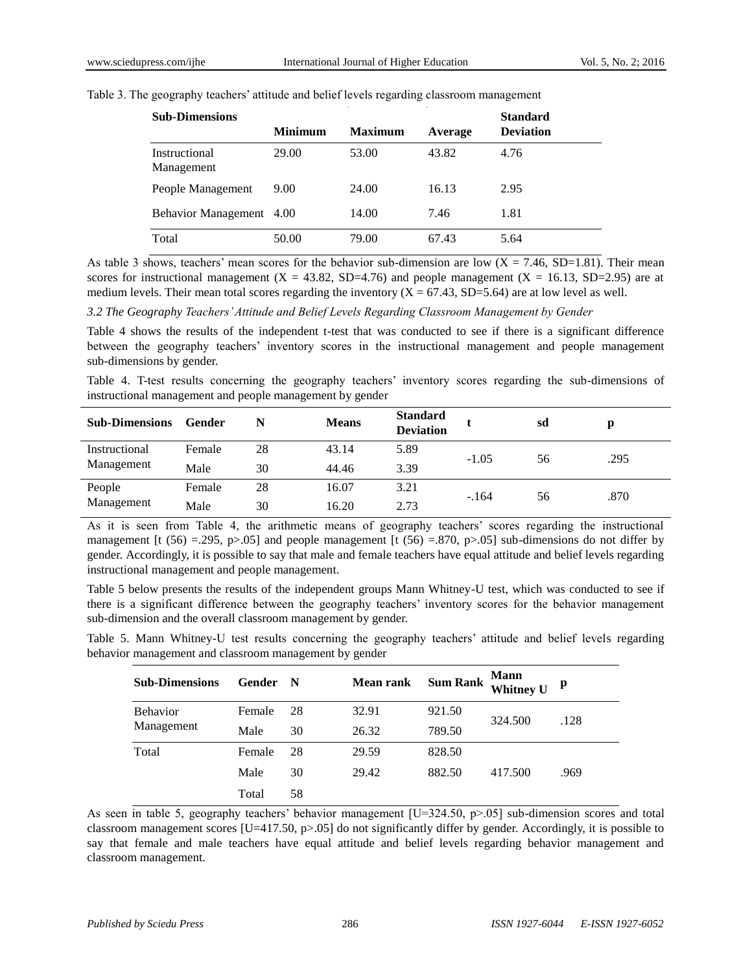| <b>Sub-Dimensions</b>       | <b>Minimum</b> | <b>Maximum</b> | Average | <b>Standard</b><br><b>Deviation</b> |
|-----------------------------|----------------|----------------|---------|-------------------------------------|
| Instructional<br>Management | 29.00          | 53.00          | 43.82   | 4.76                                |
| People Management           | 9.00           | 24.00          | 16.13   | 2.95                                |
| <b>Behavior Management</b>  | 4.00           | 14.00          | 7.46    | 1.81                                |
| Total                       | 50.00          | 79.00          | 67.43   | 5.64                                |

Table 3. The geography teachers' attitude and belief levels regarding classroom management

As table 3 shows, teachers' mean scores for the behavior sub-dimension are low  $(X = 7.46, SD=1.81)$ . Their mean scores for instructional management  $(X = 43.82, SD=4.76)$  and people management  $(X = 16.13, SD=2.95)$  are at medium levels. Their mean total scores regarding the inventory  $(X = 67.43, SD=5.64)$  are at low level as well.

*3.2 The Geography Teachers' Attitude and Belief Levels Regarding Classroom Management by Gender* 

Table 4 shows the results of the independent t-test that was conducted to see if there is a significant difference between the geography teachers' inventory scores in the instructional management and people management sub-dimensions by gender.

Table 4. T-test results concerning the geography teachers' inventory scores regarding the sub-dimensions of instructional management and people management by gender

| <b>Sub-Dimensions</b> | Gender | N  | <b>Means</b> | <b>Standard</b><br><b>Deviation</b> |         | sd |      |
|-----------------------|--------|----|--------------|-------------------------------------|---------|----|------|
| Instructional         | Female | 28 | 43.14        | 5.89                                | $-1.05$ | 56 | .295 |
| Management            | Male   | 30 | 44.46        | 3.39                                |         |    |      |
| People                | Female | 28 | 16.07        | 3.21                                |         |    |      |
| Management            | Male   | 30 | 16.20        | 2.73                                | $-164$  | 56 | .870 |

As it is seen from Table 4, the arithmetic means of geography teachers' scores regarding the instructional management [t (56) = 295, p>.05] and people management [t (56) = 870, p>.05] sub-dimensions do not differ by gender. Accordingly, it is possible to say that male and female teachers have equal attitude and belief levels regarding instructional management and people management.

Table 5 below presents the results of the independent groups Mann Whitney-U test, which was conducted to see if there is a significant difference between the geography teachers' inventory scores for the behavior management sub-dimension and the overall classroom management by gender.

Table 5. Mann Whitney-U test results concerning the geography teachers' attitude and belief levels regarding behavior management and classroom management by gender

| <b>Sub-Dimensions</b> | <b>Gender</b> | - N | <b>Mean rank</b> | <b>Sum Rank</b> | <b>Mann</b><br>Whitney U | - p  |
|-----------------------|---------------|-----|------------------|-----------------|--------------------------|------|
| <b>Behavior</b>       | Female        | 28  | 32.91            | 921.50          | 324.500                  | .128 |
| Management            | Male          | 30  | 26.32            | 789.50          |                          |      |
| Total                 | Female        | 28  | 29.59            | 828.50          |                          |      |
|                       | Male          | 30  | 29.42            | 882.50          | 417.500                  | .969 |
|                       | Total         | 58  |                  |                 |                          |      |

As seen in table 5, geography teachers' behavior management [U=324.50, p>.05] sub-dimension scores and total classroom management scores [U=417.50, p>.05] do not significantly differ by gender. Accordingly, it is possible to say that female and male teachers have equal attitude and belief levels regarding behavior management and classroom management.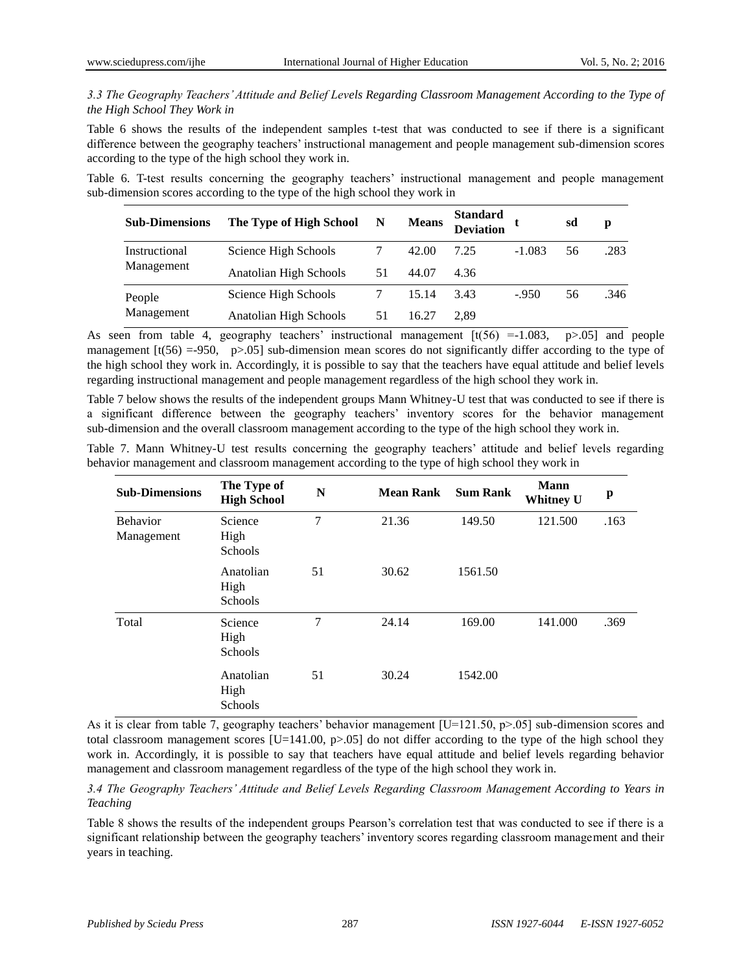# *3.3 The Geography Teachers' Attitude and Belief Levels Regarding Classroom Management According to the Type of the High School They Work in*

Table 6 shows the results of the independent samples t-test that was conducted to see if there is a significant difference between the geography teachers' instructional management and people management sub-dimension scores according to the type of the high school they work in.

Table 6. T-test results concerning the geography teachers' instructional management and people management sub-dimension scores according to the type of the high school they work in

| <b>Sub-Dimensions</b> | The Type of High School       | N  | <b>Means</b> | <b>Standard</b><br><b>Deviation</b> |          | sd | p    |
|-----------------------|-------------------------------|----|--------------|-------------------------------------|----------|----|------|
| Instructional         | Science High Schools          |    | 42.00        | 7.25                                | $-1.083$ | 56 | .283 |
| Management            | <b>Anatolian High Schools</b> | 51 | 44.07        | 4.36                                |          |    |      |
| People                | Science High Schools          |    | 15.14        | 3.43                                | $-.950$  | 56 | .346 |
| Management            | Anatolian High Schools        | 51 | 16.27        | 2.89                                |          |    |      |

As seen from table 4, geography teachers' instructional management  $[t(56) = -1.083, p>0.05]$  and people management  $[t(56) = -950, p>0.05]$  sub-dimension mean scores do not significantly differ according to the type of the high school they work in. Accordingly, it is possible to say that the teachers have equal attitude and belief levels regarding instructional management and people management regardless of the high school they work in.

Table 7 below shows the results of the independent groups Mann Whitney-U test that was conducted to see if there is a significant difference between the geography teachers' inventory scores for the behavior management sub-dimension and the overall classroom management according to the type of the high school they work in.

Table 7. Mann Whitney-U test results concerning the geography teachers' attitude and belief levels regarding behavior management and classroom management according to the type of high school they work in

| <b>Sub-Dimensions</b>         | The Type of<br><b>High School</b> | $\mathbf N$ | <b>Mean Rank</b> | <b>Sum Rank</b> | <b>Mann</b><br><b>Whitney U</b> | p    |
|-------------------------------|-----------------------------------|-------------|------------------|-----------------|---------------------------------|------|
| <b>Behavior</b><br>Management | Science<br>High<br>Schools        | 7           | 21.36            | 149.50          | 121.500                         | .163 |
|                               | Anatolian<br>High<br>Schools      | 51          | 30.62            | 1561.50         |                                 |      |
| Total                         | Science<br>High<br>Schools        | 7           | 24.14            | 169.00          | 141.000                         | .369 |
|                               | Anatolian<br>High<br>Schools      | 51          | 30.24            | 1542.00         |                                 |      |

As it is clear from table 7, geography teachers' behavior management  $[U=121.50, p>0.05]$  sub-dimension scores and total classroom management scores  $[U=141.00, p>0.05]$  do not differ according to the type of the high school they work in. Accordingly, it is possible to say that teachers have equal attitude and belief levels regarding behavior management and classroom management regardless of the type of the high school they work in.

*3.4 The Geography Teachers' Attitude and Belief Levels Regarding Classroom Management According to Years in Teaching*

Table 8 shows the results of the independent groups Pearson's correlation test that was conducted to see if there is a significant relationship between the geography teachers' inventory scores regarding classroom management and their years in teaching.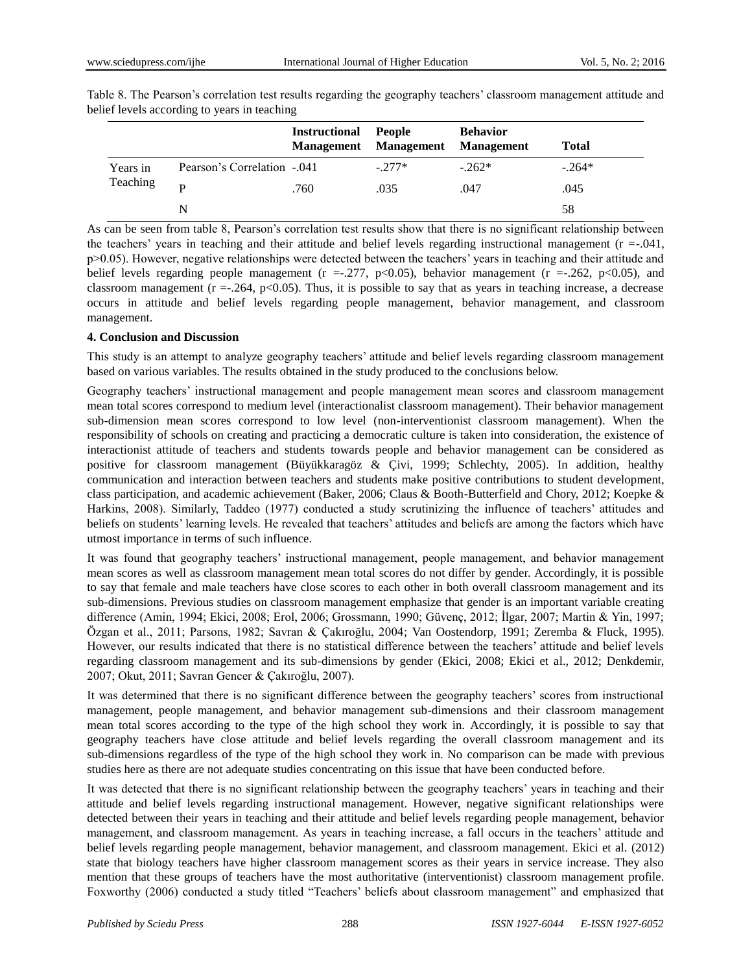|          |                             | <b>Instructional People</b> | Management Management Management | <b>Behavior</b> | <b>Total</b> |
|----------|-----------------------------|-----------------------------|----------------------------------|-----------------|--------------|
| Years in | Pearson's Correlation -.041 |                             | $-277*$                          | $-262*$         | $-.264*$     |
| Teaching | D                           | .760                        | .035                             | .047            | .045         |
|          | N                           |                             |                                  |                 | 58           |

Table 8. The Pearson's correlation test results regarding the geography teachers' classroom management attitude and belief levels according to years in teaching

As can be seen from table 8, Pearson's correlation test results show that there is no significant relationship between the teachers' years in teaching and their attitude and belief levels regarding instructional management (r =-.041, p>0.05). However, negative relationships were detected between the teachers' years in teaching and their attitude and belief levels regarding people management ( $r = -0.277$ ,  $p < 0.05$ ), behavior management ( $r = -0.262$ ,  $p < 0.05$ ), and classroom management ( $r = 0.264$ ,  $p < 0.05$ ). Thus, it is possible to say that as years in teaching increase, a decrease occurs in attitude and belief levels regarding people management, behavior management, and classroom management.

#### **4. Conclusion and Discussion**

This study is an attempt to analyze geography teachers' attitude and belief levels regarding classroom management based on various variables. The results obtained in the study produced to the conclusions below.

Geography teachers' instructional management and people management mean scores and classroom management mean total scores correspond to medium level (interactionalist classroom management). Their behavior management sub-dimension mean scores correspond to low level (non-interventionist classroom management). When the responsibility of schools on creating and practicing a democratic culture is taken into consideration, the existence of interactionist attitude of teachers and students towards people and behavior management can be considered as positive for classroom management (Büyükkaragöz & Çivi, 1999; Schlechty, 2005). In addition, healthy communication and interaction between teachers and students make positive contributions to student development, class participation, and academic achievement (Baker, 2006; Claus & Booth-Butterfield and Chory, 2012; Koepke & Harkins, 2008). Similarly, Taddeo (1977) conducted a study scrutinizing the influence of teachers' attitudes and beliefs on students' learning levels. He revealed that teachers' attitudes and beliefs are among the factors which have utmost importance in terms of such influence.

It was found that geography teachers' instructional management, people management, and behavior management mean scores as well as classroom management mean total scores do not differ by gender. Accordingly, it is possible to say that female and male teachers have close scores to each other in both overall classroom management and its sub-dimensions. Previous studies on classroom management emphasize that gender is an important variable creating difference (Amin, 1994; Ekici, 2008; Erol, 2006; Grossmann, 1990; Güvenç, 2012; İlgar, 2007; Martin & Yin, 1997; Özgan et al., 2011; Parsons, 1982; Savran & Çakıroğlu, 2004; Van Oostendorp, 1991; Zeremba & Fluck, 1995). However, our results indicated that there is no statistical difference between the teachers' attitude and belief levels regarding classroom management and its sub-dimensions by gender (Ekici, 2008; Ekici et al., 2012; Denkdemir, 2007; Okut, 2011; Savran Gencer & Çakıroğlu, 2007).

It was determined that there is no significant difference between the geography teachers' scores from instructional management, people management, and behavior management sub-dimensions and their classroom management mean total scores according to the type of the high school they work in. Accordingly, it is possible to say that geography teachers have close attitude and belief levels regarding the overall classroom management and its sub-dimensions regardless of the type of the high school they work in. No comparison can be made with previous studies here as there are not adequate studies concentrating on this issue that have been conducted before.

It was detected that there is no significant relationship between the geography teachers' years in teaching and their attitude and belief levels regarding instructional management. However, negative significant relationships were detected between their years in teaching and their attitude and belief levels regarding people management, behavior management, and classroom management. As years in teaching increase, a fall occurs in the teachers' attitude and belief levels regarding people management, behavior management, and classroom management. Ekici et al. (2012) state that biology teachers have higher classroom management scores as their years in service increase. They also mention that these groups of teachers have the most authoritative (interventionist) classroom management profile. Foxworthy (2006) conducted a study titled "Teachers' beliefs about classroom management" and emphasized that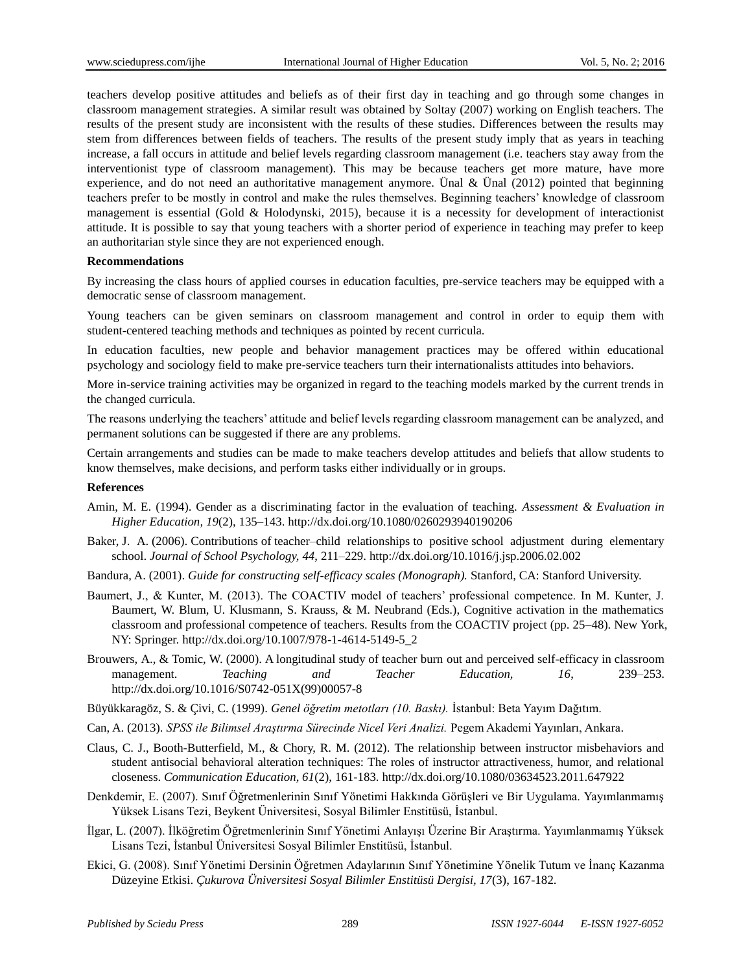teachers develop positive attitudes and beliefs as of their first day in teaching and go through some changes in classroom management strategies. A similar result was obtained by Soltay (2007) working on English teachers. The results of the present study are inconsistent with the results of these studies. Differences between the results may stem from differences between fields of teachers. The results of the present study imply that as years in teaching increase, a fall occurs in attitude and belief levels regarding classroom management (i.e. teachers stay away from the interventionist type of classroom management). This may be because teachers get more mature, have more experience, and do not need an authoritative management anymore. Unal  $&$  Unal (2012) pointed that beginning teachers prefer to be mostly in control and make the rules themselves. Beginning teachers' knowledge of classroom management is essential (Gold & Holodynski, 2015), because it is a necessity for development of interactionist attitude. It is possible to say that young teachers with a shorter period of experience in teaching may prefer to keep an authoritarian style since they are not experienced enough.

#### **Recommendations**

By increasing the class hours of applied courses in education faculties, pre-service teachers may be equipped with a democratic sense of classroom management.

Young teachers can be given seminars on classroom management and control in order to equip them with student-centered teaching methods and techniques as pointed by recent curricula.

In education faculties, new people and behavior management practices may be offered within educational psychology and sociology field to make pre-service teachers turn their internationalists attitudes into behaviors.

More in-service training activities may be organized in regard to the teaching models marked by the current trends in the changed curricula.

The reasons underlying the teachers' attitude and belief levels regarding classroom management can be analyzed, and permanent solutions can be suggested if there are any problems.

Certain arrangements and studies can be made to make teachers develop attitudes and beliefs that allow students to know themselves, make decisions, and perform tasks either individually or in groups.

### **References**

- Amin, M. E. (1994). Gender as a discriminating factor in the evaluation of teaching. *Assessment & Evaluation in Higher Education, 19*(2), 135–143[. http://dx.doi.org/10.1080/0260293940190206](http://dx.doi.org/10.1080/0260293940190206)
- Baker, J. A. (2006). Contributions of teacher–child relationships to positive school adjustment during elementary school. *Journal of School Psychology, 44*, 211–229. <http://dx.doi.org/10.1016/j.jsp.2006.02.002>
- Bandura, A. (2001). *Guide for constructing self-efficacy scales (Monograph).* Stanford, CA: Stanford University.
- Baumert, J., & Kunter, M. (2013). The COACTIV model of teachers' professional competence. In M. Kunter, J. Baumert, W. Blum, U. Klusmann, S. Krauss, & M. Neubrand (Eds.), Cognitive activation in the mathematics classroom and professional competence of teachers. Results from the COACTIV project (pp. 25–48). New York, NY: Springer. [http://dx.doi.org/10.1007/978-1-4614-5149-5\\_2](http://dx.doi.org/10.1007/978-1-4614-5149-5_2)
- Brouwers, A., & Tomic, W. (2000). A longitudinal study of teacher burn out and perceived self-efficacy in classroom management. *Teaching and Teacher Education, 16*, 239–253. [http://dx.doi.org/10.1016/S0742-051X\(99\)00057-8](http://dx.doi.org/10.1016/S0742-051X(99)00057-8)
- Büyükkaragöz, S. & Çivi, C. (1999). *Genel öğretim metotları (10. Baskı).* İstanbul: Beta Yayım Dağıtım.

Can, A. (2013). *SPSS ile Bilimsel Araştırma Sürecinde Nicel Veri Analizi.* Pegem Akademi Yayınları, Ankara.

- Claus, C. J., Booth-Butterfield, M., & Chory, R. M. (2012). The relationship between instructor misbehaviors and student antisocial behavioral alteration techniques: The roles of instructor attractiveness, humor, and relational closeness. *Communication Education, 61*(2), 161-183.<http://dx.doi.org/10.1080/03634523.2011.647922>
- Denkdemir, E. (2007). Sınıf Öğretmenlerinin Sınıf Yönetimi Hakkında Görüşleri ve Bir Uygulama. Yayımlanmamış Yüksek Lisans Tezi, Beykent Üniversitesi, Sosyal Bilimler Enstitüsü, İstanbul.
- İlgar, L. (2007). İlköğretim Öğretmenlerinin Sınıf Yönetimi Anlayışı Üzerine Bir Araştırma. Yayımlanmamış Yüksek Lisans Tezi, İstanbul Üniversitesi Sosyal Bilimler Enstitüsü, İstanbul.
- Ekici, G. (2008). Sınıf Yönetimi Dersinin Öğretmen Adaylarının Sınıf Yönetimine Yönelik Tutum ve İnanç Kazanma Düzeyine Etkisi. *Çukurova Üniversitesi Sosyal Bilimler Enstitüsü Dergisi, 17*(3), 167-182.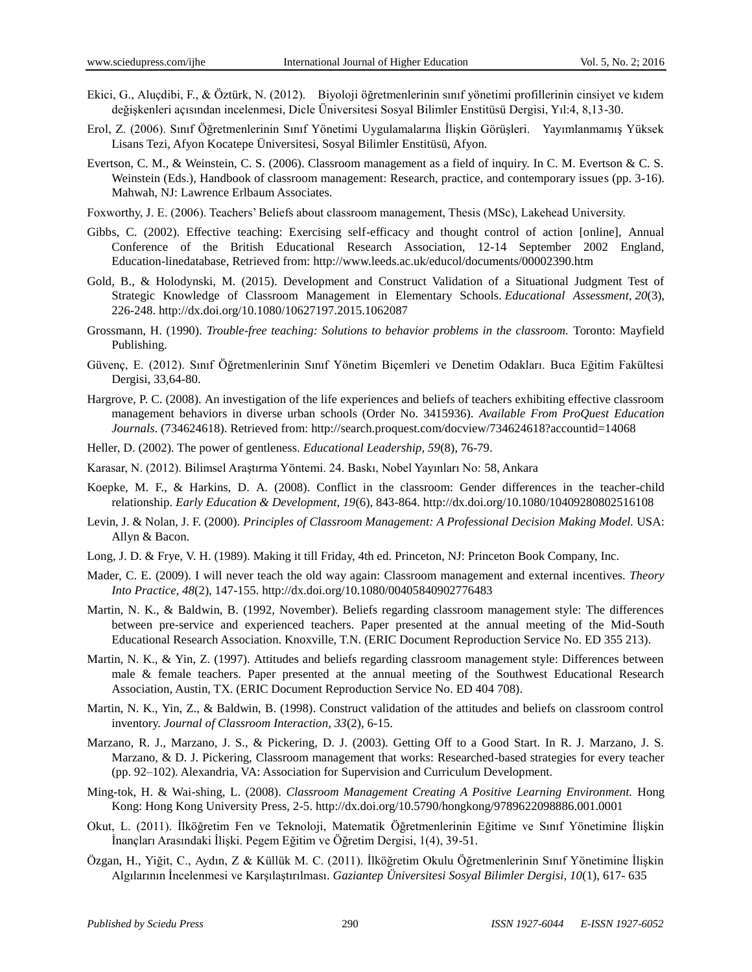- Ekici, G., Aluçdibi, F., & Öztürk, N. (2012). Biyoloji öğretmenlerinin sınıf yönetimi profillerinin cinsiyet ve kıdem değişkenleri açısından incelenmesi, Dicle Üniversitesi Sosyal Bilimler Enstitüsü Dergisi, Yıl:4, 8,13-30.
- Erol, Z. (2006). Sınıf Öğretmenlerinin Sınıf Yönetimi Uygulamalarına İlişkin Görüşleri. Yayımlanmamış Yüksek Lisans Tezi, Afyon Kocatepe Üniversitesi, Sosyal Bilimler Enstitüsü, Afyon.
- Evertson, C. M., & Weinstein, C. S. (2006). Classroom management as a field of inquiry. In C. M. Evertson & C. S. Weinstein (Eds.), Handbook of classroom management: Research, practice, and contemporary issues (pp. 3-16). Mahwah, NJ: Lawrence Erlbaum Associates.
- Foxworthy, J. E. (2006). Teachers' Beliefs about classroom management, Thesis (MSc), Lakehead University.
- Gibbs, C. (2002). Effective teaching: Exercising self-efficacy and thought control of action [online], Annual Conference of the British Educational Research Association, 12-14 September 2002 England, Education-linedatabase, Retrieved from: http://www.leeds.ac.uk/educol/documents/00002390.htm
- Gold, B., & Holodynski, M. (2015). Development and Construct Validation of a Situational Judgment Test of Strategic Knowledge of Classroom Management in Elementary Schools. *Educational Assessment, 20*(3), 226-248.<http://dx.doi.org/10.1080/10627197.2015.1062087>
- Grossmann, H. (1990). *Trouble-free teaching: Solutions to behavior problems in the classroom.* Toronto: Mayfield Publishing.
- Güvenç, E. (2012). Sınıf Öğretmenlerinin Sınıf Yönetim Biçemleri ve Denetim Odakları. Buca Eğitim Fakültesi Dergisi, 33,64-80.
- Hargrove, P. C. (2008). An investigation of the life experiences and beliefs of teachers exhibiting effective classroom management behaviors in diverse urban schools (Order No. 3415936). *Available From ProQuest Education Journals*. (734624618). Retrieved from: http://search.proquest.com/docview/734624618?accountid=14068
- Heller, D. (2002). The power of gentleness. *Educational Leadership, 59*(8), 76-79.
- Karasar, N. (2012). Bilimsel Araştırma Yöntemi. 24. Baskı, Nobel Yayınları No: 58, Ankara
- Koepke, M. F., & Harkins, D. A. (2008). Conflict in the classroom: Gender differences in the teacher-child relationship. *Early Education & Development, 19*(6), 843-864. <http://dx.doi.org/10.1080/10409280802516108>
- Levin, J. & Nolan, J. F. (2000). *Principles of Classroom Management: A Professional Decision Making Model.* USA: Allyn & Bacon.
- Long, J. D. & Frye, V. H. (1989). Making it till Friday, 4th ed. Princeton, NJ: Princeton Book Company, Inc.
- Mader, C. E. (2009). I will never teach the old way again: Classroom management and external incentives. *Theory Into Practice, 48*(2), 147-155[. http://dx.doi.org/10.1080/00405840902776483](http://dx.doi.org/10.1080/00405840902776483)
- Martin, N. K., & Baldwin, B. (1992, November). Beliefs regarding classroom management style: The differences between pre-service and experienced teachers. Paper presented at the annual meeting of the Mid-South Educational Research Association. Knoxville, T.N. (ERIC Document Reproduction Service No. ED 355 213).
- Martin, N. K., & Yin, Z. (1997). Attitudes and beliefs regarding classroom management style: Differences between male & female teachers. Paper presented at the annual meeting of the Southwest Educational Research Association, Austin, TX. (ERIC Document Reproduction Service No. ED 404 708).
- Martin, N. K., Yin, Z., & Baldwin, B. (1998). Construct validation of the attitudes and beliefs on classroom control inventory. *Journal of Classroom Interaction, 33*(2), 6-15.
- Marzano, R. J., Marzano, J. S., & Pickering, D. J. (2003). Getting Off to a Good Start. In R. J. Marzano, J. S. Marzano, & D. J. Pickering, Classroom management that works: Researched-based strategies for every teacher (pp. 92–102). Alexandria, VA: Association for Supervision and Curriculum Development.
- Ming-tok, H. & Wai-shing, L. (2008). *Classroom Management Creating A Positive Learning Environment.* Hong Kong: Hong Kong University Press, 2-5.<http://dx.doi.org/10.5790/hongkong/9789622098886.001.0001>
- Okut, L. (2011). İlköğretim Fen ve Teknoloji, Matematik Öğretmenlerinin Eğitime ve Sınıf Yönetimine İlişkin İnançları Arasındaki İlişki. Pegem Eğitim ve Öğretim Dergisi, 1(4), 39-51.
- Özgan, H., Yiğit, C., Aydın, Z & Küllük M. C. (2011). İlköğretim Okulu Öğretmenlerinin Sınıf Yönetimine İlişkin Algılarının İncelenmesi ve Karşılaştırılması. *Gaziantep Üniversitesi Sosyal Bilimler Dergisi, 10*(1), 617- 635